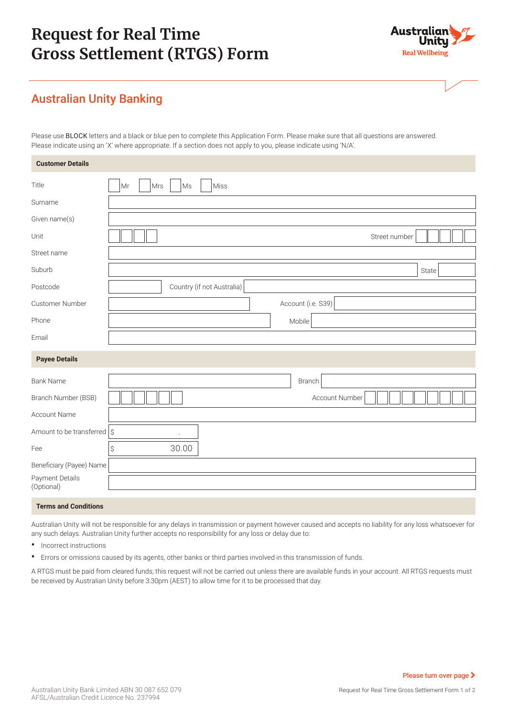# **Request for Real Time Gross Settlement (RTGS) Form**



## Australian Unity Banking

Please use BLOCK letters and a black or blue pen to complete this Application Form. Please make sure that all questions are answered. Please indicate using an 'X' where appropriate. If a section does not apply to you, please indicate using 'N/A'.

| <b>Customer Details</b>                |                                    |
|----------------------------------------|------------------------------------|
| Title                                  | Miss<br>Mr<br>Mrs<br>$\mathsf{Ms}$ |
| Surname                                |                                    |
| Given name(s)                          |                                    |
| Unit                                   | Street number                      |
| Street name                            |                                    |
| Suburb                                 | State                              |
| Postcode                               | Country (if not Australia)         |
| Customer Number                        | Account (i.e. S39)                 |
| Phone                                  | Mobile                             |
| Email                                  |                                    |
| <b>Payee Details</b>                   |                                    |
| <b>Bank Name</b>                       | Branch                             |
| Branch Number (BSB)                    | Account Number                     |
| Account Name                           |                                    |
| Amount to be transferred $\frac{1}{5}$ | $\ddot{\phantom{a}}$               |
| Fee                                    | 30.00<br>\$                        |
| Beneficiary (Payee) Name               |                                    |
| Payment Details<br>(Optional)          |                                    |
| Tannon and Oandhists                   |                                    |

**Terms and Conditions**

Australian Unity will not be responsible for any delays in transmission or payment however caused and accepts no liability for any loss whatsoever for any such delays. Australian Unity further accepts no responsibility for any loss or delay due to:

- **•** Incorrect instructions
- **•** Errors or omissions caused by its agents, other banks or third parties involved in this transmission of funds.

A RTGS must be paid from cleared funds; this request will not be carried out unless there are available funds in your account. All RTGS requests must be received by Australian Unity before 3:30pm (AEST) to allow time for it to be processed that day.